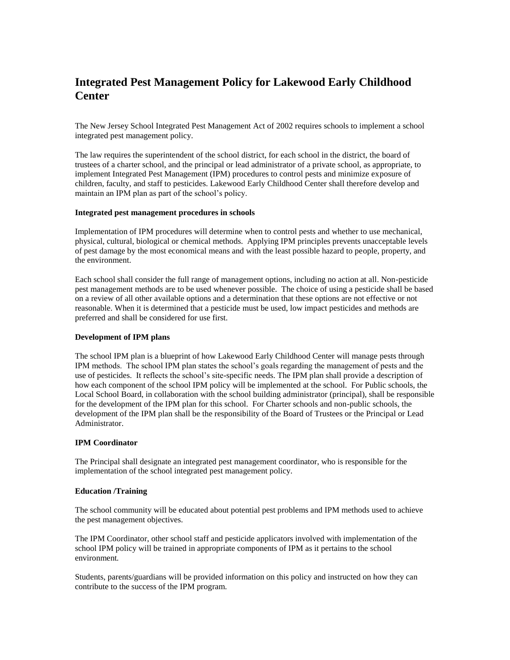# **Integrated Pest Management Policy for Lakewood Early Childhood Center**

The New Jersey School Integrated Pest Management Act of 2002 requires schools to implement a school integrated pest management policy.

The law requires the superintendent of the school district, for each school in the district, the board of trustees of a charter school, and the principal or lead administrator of a private school, as appropriate, to implement Integrated Pest Management (IPM) procedures to control pests and minimize exposure of children, faculty, and staff to pesticides. Lakewood Early Childhood Center shall therefore develop and maintain an IPM plan as part of the school's policy.

### **Integrated pest management procedures in schools**

Implementation of IPM procedures will determine when to control pests and whether to use mechanical, physical, cultural, biological or chemical methods. Applying IPM principles prevents unacceptable levels of pest damage by the most economical means and with the least possible hazard to people, property, and the environment.

Each school shall consider the full range of management options, including no action at all. Non-pesticide pest management methods are to be used whenever possible. The choice of using a pesticide shall be based on a review of all other available options and a determination that these options are not effective or not reasonable. When it is determined that a pesticide must be used, low impact pesticides and methods are preferred and shall be considered for use first.

### **Development of IPM plans**

The school IPM plan is a blueprint of how Lakewood Early Childhood Center will manage pests through IPM methods. The school IPM plan states the school's goals regarding the management of pests and the use of pesticides. It reflects the school's site-specific needs. The IPM plan shall provide a description of how each component of the school IPM policy will be implemented at the school. For Public schools, the Local School Board, in collaboration with the school building administrator (principal), shall be responsible for the development of the IPM plan for this school. For Charter schools and non-public schools, the development of the IPM plan shall be the responsibility of the Board of Trustees or the Principal or Lead Administrator.

### **IPM Coordinator**

The Principal shall designate an integrated pest management coordinator, who is responsible for the implementation of the school integrated pest management policy.

### **Education /Training**

The school community will be educated about potential pest problems and IPM methods used to achieve the pest management objectives.

The IPM Coordinator, other school staff and pesticide applicators involved with implementation of the school IPM policy will be trained in appropriate components of IPM as it pertains to the school environment*.*

Students, parents/guardians will be provided information on this policy and instructed on how they can contribute to the success of the IPM program.